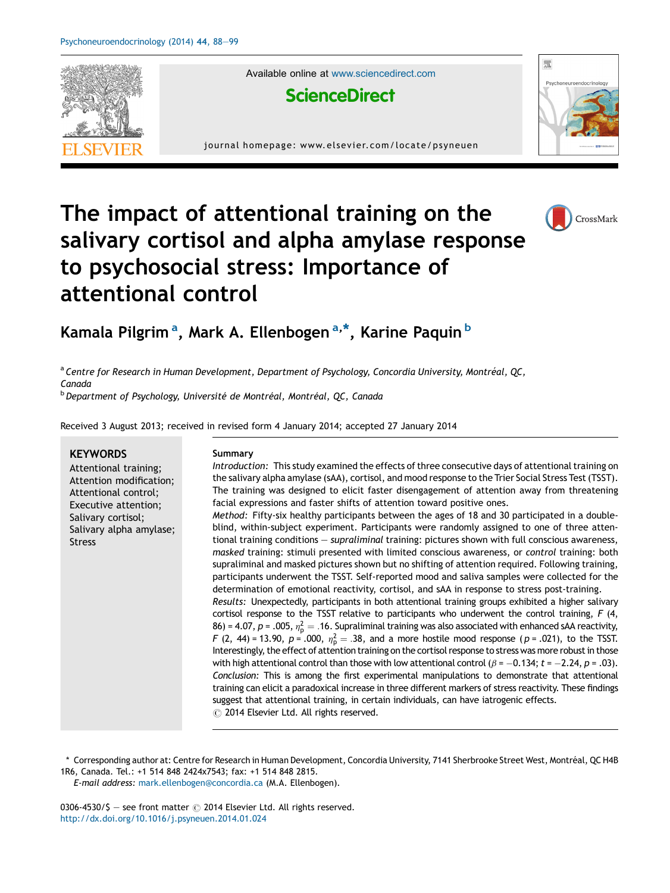

Available online at [www.sciencedirect.com](http://www.sciencedirect.com/science/journal/03064530)



journal homepage: www.elsevier.com/locate/psyneuen



# The impact of attentional training on the salivary cortisol and alpha amylase response to psychosocial stress: Importance of attentional control



### Kamala Pilgrim<sup>a</sup>, Mark A. Ellenbogen<sup>a,\*</sup>, Karine Paquin <sup>b</sup>

<sup>a</sup> Centre for Research in Human Development, Department of Psychology, Concordia University, Montréal, QC, Canada

<sup>b</sup> Department of Psychology, Université de Montréal, Montréal, QC, Canada

Received 3 August 2013; received in revised form 4 January 2014; accepted 27 January 2014

#### **KEYWORDS**

Attentional training; Attention modification; Attentional control; Executive attention; Salivary cortisol; Salivary alpha amylase; Stress

#### Summary

Introduction: This study examined the effects of three consecutive days of attentional training on the salivary alpha amylase (sAA), cortisol, and mood response to the Trier Social Stress Test(TSST). The training was designed to elicit faster disengagement of attention away from threatening facial expressions and faster shifts of attention toward positive ones. Method: Fifty-six healthy participants between the ages of 18 and 30 participated in a double-

blind, within-subject experiment. Participants were randomly assigned to one of three attentional training conditions — supraliminal training: pictures shown with full conscious awareness, masked training: stimuli presented with limited conscious awareness, or control training: both supraliminal and masked pictures shown but no shifting of attention required. Following training, participants underwent the TSST. Self-reported mood and saliva samples were collected for the determination of emotional reactivity, cortisol, and sAA in response to stress post-training. Results: Unexpectedly, participants in both attentional training groups exhibited a higher salivary cortisol response to the TSST relative to participants who underwent the control training, F (4, 86) = 4.07, p = .005,  $\eta_{\sf p}^2 =$  .16. Supraliminal training was also associated with enhanced sAA reactivity, F (2, 44) = 13.90,  $p$  = .000,  $\eta_{\sf p}^2 = .38$ , and a more hostile mood response ( $p$  = .021), to the TSST. Interestingly, the effect of attention training on the cortisol response to stress was more robust in those with high attentional control than those with low attentional control ( $\beta$  =  $-0.134$ ;  $t$  =  $-2.24$ ,  $p$  = .03). Conclusion: This is among the first experimental manipulations to demonstrate that attentional training can elicit a paradoxical increase in three different markers of stress reactivity. These findings suggest that attentional training, in certain individuals, can have iatrogenic effects.  $\odot$  2014 Elsevier Ltd. All rights reserved.

\* Corresponding author at: Centre for Research in Human Development, Concordia University, 7141 Sherbrooke Street West, Montréal, QC H4B 1R6, Canada. Tel.: +1 514 848 2424x7543; fax: +1 514 848 2815.

E-mail address: [mark.ellenbogen@concordia.ca](mailto:mark.ellenbogen@concordia.ca) (M.A. Ellenbogen).

0306-4530/\$ - see front matter  $\odot$  2014 Elsevier Ltd. All rights reserved. <http://dx.doi.org/10.1016/j.psyneuen.2014.01.024>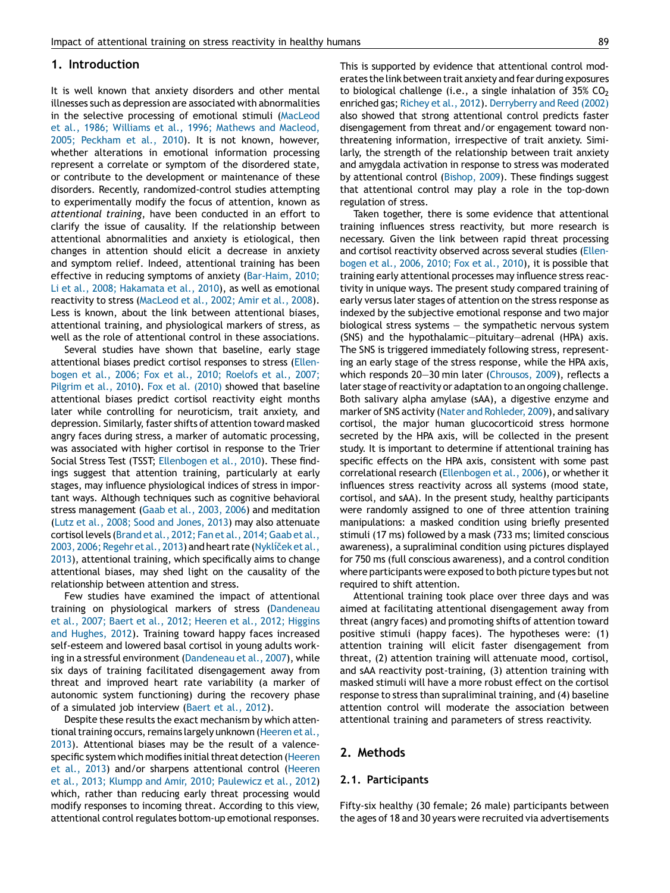#### 1. Introduction

It is well known that anxiety disorders and other mental illnesses such as depression are associated with abnormalities in the selective processing of emotional stimuli ([MacLeod](#page--1-0) et al., 1986; Williams et al., 1996; Mathews and [Macleod,](#page--1-0) 2005; [Peckham](#page--1-0) et al., 2010). It is not known, however, whether alterations in emotional information processing represent a correlate or symptom of the disordered state, or contribute to the development or maintenance of these disorders. Recently, randomized-control studies attempting to experimentally modify the focus of attention, known as attentional training, have been conducted in an effort to clarify the issue of causality. If the relationship between attentional abnormalities and anxiety is etiological, then changes in attention should elicit a decrease in anxiety and symptom relief. Indeed, attentional training has been effective in reducing symptoms of anxiety ([Bar-Haim,](#page--1-0) 2010; Li et al., 2008; [Hakamata](#page--1-0) et al., 2010), as well as emotional reactivity to stress [\(MacLeod](#page--1-0) et al., 2002; Amir et al., 2008). Less is known, about the link between attentional biases, attentional training, and physiological markers of stress, as well as the role of attentional control in these associations.

Several studies have shown that baseline, early stage attentional biases predict cortisol responses to stress ([Ellen](#page--1-0)bogen et al., 2006; Fox et al., 2010; [Roelofs](#page--1-0) et al., 2007; [Pilgrim](#page--1-0) et al., 2010). Fox et al. [\(2010\)](#page--1-0) showed that baseline attentional biases predict cortisol reactivity eight months later while controlling for neuroticism, trait anxiety, and depression. Similarly, faster shifts of attention toward masked angry faces during stress, a marker of automatic processing, was associated with higher cortisol in response to the Trier Social Stress Test (TSST; [Ellenbogen](#page--1-0) et al., 2010). These findings suggest that attention training, particularly at early stages, may influence physiological indices of stress in important ways. Although techniques such as cognitive behavioral stress management (Gaab et al., [2003,](#page--1-0) 2006) and meditation (Lutz et al., 2008; Sood and [Jones,](#page--1-0) 2013) may also attenuate cortisol levels(Brand et al., 2012; Fan et al., [2014;Gaab](#page--1-0) et al., 2003, 2006; Regehr et al., 2013) and heart rate (Nykliček et al., [2013\)](#page--1-0), attentional training, which specifically aims to change attentional biases, may shed light on the causality of the relationship between attention and stress.

Few studies have examined the impact of attentional training on physiological markers of stress [\(Dandeneau](#page--1-0) et al., 2007; Baert et al., 2012; [Heeren](#page--1-0) et al., 2012; Higgins and [Hughes,](#page--1-0) 2012). Training toward happy faces increased self-esteem and lowered basal cortisol in young adults work-ing in a stressful environment ([Dandeneau](#page--1-0) et al., 2007), while six days of training facilitated disengagement away from threat and improved heart rate variability (a marker of autonomic system functioning) during the recovery phase of a simulated job interview ([Baert](#page--1-0) et al., 2012).

Despite these results the exact mechanism by which atten-tional training occurs, remains largely unknown [\(Heeren](#page--1-0) et al., [2013\)](#page--1-0). Attentional biases may be the result of a valence-specific system which modifies initial threat detection [\(Heeren](#page--1-0) et al., [2013\)](#page--1-0) and/or sharpens attentional control [\(Heeren](#page--1-0) et al., 2013; Klumpp and Amir, 2010; [Paulewicz](#page--1-0) et al., 2012) which, rather than reducing early threat processing would modify responses to incoming threat. According to this view, attentional control regulates bottom-up emotional responses. This is supported by evidence that attentional control moderatesthe link between trait anxiety and fear during exposures to biological challenge (i.e., a single inhalation of  $35\%$  CO<sub>2</sub> enriched gas; [Richey](#page--1-0) et al., 2012). [Derryberry](#page--1-0) and Reed (2002) also showed that strong attentional control predicts faster disengagement from threat and/or engagement toward nonthreatening information, irrespective of trait anxiety. Similarly, the strength of the relationship between trait anxiety and amygdala activation in response to stress was moderated by attentional control [\(Bishop,](#page--1-0) 2009). These findings suggest that attentional control may play a role in the top-down regulation of stress.

Taken together, there is some evidence that attentional training influences stress reactivity, but more research is necessary. Given the link between rapid threat processing and cortisol reactivity observed across several studies ([Ellen](#page--1-0)[bogen](#page--1-0) et al., 2006, 2010; Fox et al., 2010), it is possible that training early attentional processes may influence stress reactivity in unique ways. The present study compared training of early versus later stages of attention on the stress response as indexed by the subjective emotional response and two major biological stress systems — the sympathetic nervous system (SNS) and the hypothalamic—pituitary—adrenal (HPA) axis. The SNS is triggered immediately following stress, representing an early stage of the stress response, while the HPA axis, which responds 20-30 min later ([Chrousos,](#page--1-0) 2009), reflects a later stage of reactivity or adaptation to an ongoing challenge. Both salivary alpha amylase (sAA), a digestive enzyme and marker of SNS activity (Nater and [Rohleder,](#page--1-0) 2009), and salivary cortisol, the major human glucocorticoid stress hormone secreted by the HPA axis, will be collected in the present study. It is important to determine if attentional training has specific effects on the HPA axis, consistent with some past correlational research [\(Ellenbogen](#page--1-0) et al., 2006), or whether it influences stress reactivity across all systems (mood state, cortisol, and sAA). In the present study, healthy participants were randomly assigned to one of three attention training manipulations: a masked condition using briefly presented stimuli (17 ms) followed by a mask (733 ms; limited conscious awareness), a supraliminal condition using pictures displayed for 750 ms (full conscious awareness), and a control condition where participants were exposed to both picture types but not required to shift attention.

Attentional training took place over three days and was aimed at facilitating attentional disengagement away from threat (angry faces) and promoting shifts of attention toward positive stimuli (happy faces). The hypotheses were: (1) attention training will elicit faster disengagement from threat, (2) attention training will attenuate mood, cortisol, and sAA reactivity post-training, (3) attention training with masked stimuli will have a more robust effect on the cortisol response to stress than supraliminal training, and (4) baseline attention control will moderate the association between attentional training and parameters of stress reactivity.

#### 2. Methods

#### 2.1. Participants

Fifty-six healthy (30 female; 26 male) participants between the ages of 18 and 30 years were recruited via advertisements